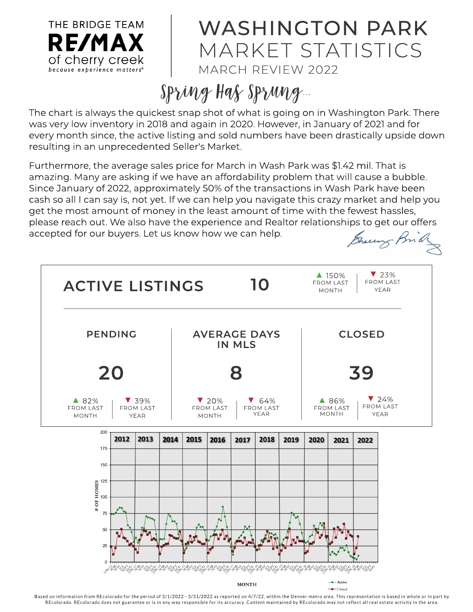

## WASHINGTON PARK M ARKET STATISTICS MARCH REVIEW 2022

## $Spring$  Has  $Sprung$ ...

The chart is always the quickest snap shot of what is going on in Washington Park. There was very low inventory in 2018 and again in 2020. However, in January of 2021and for every month since, the active listing and sold numbers have been drastically upside down resulting in an unprecedented Seller's Market.

Furthermore, the average sales price for March in Wash Park was \$1.42 mil. That is amazing. Many are asking if we have an affordability problem that will cause a bubble. Since January of 2022, approximately 50% of the transactions in Wash Park have been cash so all I can say is, not yet. If we can help you navigate this crazy market and help you get the most amount of money in the least amount of time with the fewest hassles, please reach out. We also have the experience and Realtor relationships to get our offers accepted for our buyers. Let us know how we can help. Brew Brid



Based on information from REcolorado for the period of 3/1/2022 - 3/31/2022 as reported on 4/7/22, within the Denver metro area. This representation is based in whole or in part by REcolorado. REcolorado does not guarantee or is in any way responsible for its accuracy. Content maintained by REcolorado may not reflect all real estate activity in the area.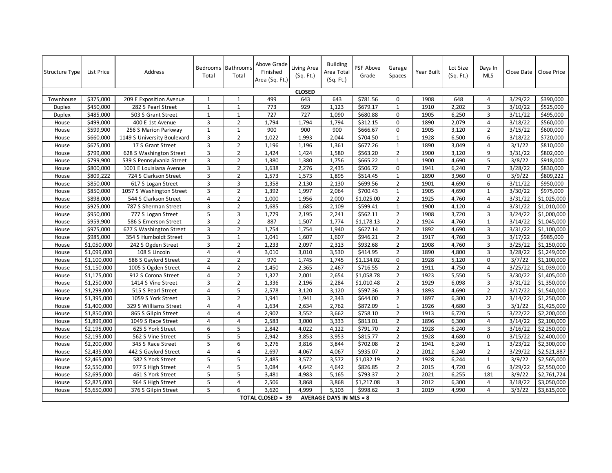| <b>Structure Type</b> | List Price              | Address                     | Bedrooms Bathrooms<br>Total | Total          | Above Grade<br>Finished<br>Area (Sq. Ft.) | Living Area<br>(Sq. Ft.) | <b>Building</b><br>Area Total<br>(Sq. Ft.) | PSF Above<br>Grade | Garage<br>Spaces | Year Built | Lot Size<br>(Sq. Ft.) | Days In<br><b>MLS</b> | Close Date | Close Price           |
|-----------------------|-------------------------|-----------------------------|-----------------------------|----------------|-------------------------------------------|--------------------------|--------------------------------------------|--------------------|------------------|------------|-----------------------|-----------------------|------------|-----------------------|
| <b>CLOSED</b>         |                         |                             |                             |                |                                           |                          |                                            |                    |                  |            |                       |                       |            |                       |
| Townhouse             | \$375,000               | 209 E Exposition Avenue     | 1                           | $\mathbf{1}$   | 499                                       | 643                      | 643                                        | \$781.56           | $\mathbf 0$      | 1908       | 648                   | $\overline{4}$        | 3/29/22    | \$390,000             |
| Duplex                | \$450,000               | 282 S Pearl Street          | 1                           | $\mathbf{1}$   | 773                                       | 929                      | 1,123                                      | \$679.17           | $\mathbf{1}$     | 1910       | 2,202                 | $\overline{3}$        | 3/10/22    | $\overline{$}525,000$ |
| Duplex                | \$485,000               | 503 S Grant Street          | $\mathbf{1}$                | $\mathbf{1}$   | 727                                       | 727                      | 1,090                                      | \$680.88           | $\mathsf 0$      | 1905       | 6,250                 | $\overline{3}$        | 3/11/22    | \$495,000             |
| House                 | \$499,000               | 400 E 1st Avenue            | $\overline{3}$              | $\overline{2}$ | 1,794                                     | 1,794                    | 1,794                                      | \$312.15           | $\mathbf 0$      | 1890       | 2,079                 | 4                     | 3/18/22    | \$560,000             |
| House                 | \$599,900               | 256 S Marion Parkway        | 1                           | $\mathbf{1}$   | 900                                       | 900                      | 900                                        | \$666.67           | $\mathbf 0$      | 1905       | 3,120                 | $\overline{2}$        | 3/15/22    | \$600,000             |
| House                 | \$660,000               | 1149 S University Boulevard | $\overline{3}$              | $\overline{2}$ | 1.022                                     | 1,993                    | 2,044                                      | \$704.50           | $\mathbf{1}$     | 1928       | 6,500                 | 6                     | 3/18/22    | \$720,000             |
| House                 | \$675,000               | 17 S Grant Street           | 3                           | $\overline{2}$ | 1,196                                     | 1,196                    | 1,361                                      | \$677.26           | $\mathbf{1}$     | 1890       | 3,049                 | 4                     | 3/1/22     | \$810,000             |
| House                 | \$799,000               | 628 S Washington Street     | $\overline{3}$              | $\overline{2}$ | 1,424                                     | 1,424                    | 1,580                                      | \$563.20           | $\overline{2}$   | 1900       | 3,120                 | 9                     | 3/31/22    | \$802,000             |
| House                 | \$799,900               | 539 S Pennsylvania Street   | $\overline{3}$              | $\overline{2}$ | 1,380                                     | 1,380                    | 1,756                                      | \$665.22           | $\mathbf{1}$     | 1900       | 4,690                 | 5                     | 3/8/22     | \$918,000             |
| House                 | \$800,000               | 1001 E Louisiana Avenue     | $\overline{3}$              | $\overline{2}$ | 1,638                                     | 2,276                    | 2,435                                      | \$506.72           | $\Omega$         | 1941       | 6,240                 | $\overline{7}$        | 3/28/22    | \$830,000             |
| House                 | \$809,222               | 724 S Clarkson Street       | 3                           | $\overline{2}$ | 1,573                                     | 1,573                    | 1,895                                      | \$514.45           | $\mathbf{1}$     | 1890       | 3,960                 | $\mathbf 0$           | 3/9/22     | \$809,222             |
| House                 | \$850,000               | 617 S Logan Street          | $\overline{3}$              | 3              | 1,358                                     | 2,130                    | 2,130                                      | \$699.56           | $\overline{2}$   | 1901       | 4,690                 | 6                     | 3/11/22    | \$950,000             |
| House                 | \$850,000               | 1057 S Washington Street    | $\overline{3}$              | $\overline{2}$ | 1,392                                     | 1,997                    | 2,064                                      | \$700.43           | $\mathbf{1}$     | 1905       | 4,690                 | $\mathbf{1}$          | 3/30/22    | \$975,000             |
| House                 | \$898,000               | 544 S Clarkson Street       | $\overline{4}$              | $\overline{2}$ | 1,000                                     | 1,956                    | 2,000                                      | \$1,025.00         | $\overline{2}$   | 1925       | 4,760                 | $\overline{4}$        | 3/31/22    | \$1,025,000           |
| House                 | \$925,000               | 787 S Sherman Street        | 3                           | $\overline{2}$ | 1,685                                     | 1,685                    | 2,109                                      | \$599.41           | $\mathbf{1}$     | 1900       | 4,120                 | $\overline{4}$        | 3/31/22    | \$1,010,000           |
| House                 | \$950,000               | 777 S Logan Street          | 5                           | 3              | 1,779                                     | 2,195                    | 2,241                                      | \$562.11           | $\overline{2}$   | 1908       | 3,720                 | $\overline{3}$        | 3/24/22    | \$1,000,000           |
| House                 | \$959,900               | 586 S Emerson Street        | $\overline{3}$              | $\overline{2}$ | 887                                       | 1,507                    | 1,774                                      | \$1,178.13         | $\overline{2}$   | 1924       | 4,760                 | $\mathbf{1}$          | 3/14/22    | \$1,045,000           |
| House                 | \$975,000               | 677 S Washington Street     | $\mathbf{3}$                | $\overline{2}$ | 1,754                                     | 1,754                    | 1,940                                      | \$627.14           | $\overline{2}$   | 1892       | 4,690                 | $\overline{3}$        | 3/31/22    | \$1,100,000           |
| House                 | \$985,000               | 354 S Humboldt Street       | 3                           | $\mathbf{1}$   | 1,041                                     | 1,607                    | 1,607                                      | \$946.21           | $\overline{2}$   | 1917       | 4,760                 | $\overline{3}$        | 3/17/22    | \$985,000             |
| House                 | \$1,050,000             | 242 S Ogden Street          | $\overline{3}$              | $\overline{2}$ | 1,233                                     | 2,097                    | 2,313                                      | \$932.68           | $\overline{2}$   | 1908       | 4,760                 | $\overline{3}$        | 3/25/22    | \$1,150,000           |
| House                 | \$1,099,000             | 108 S Lincoln               | $\overline{4}$              | $\overline{4}$ | 3,010                                     | 3,010                    | 3,530                                      | \$414.95           | $\overline{2}$   | 1890       | 4,800                 | $\overline{3}$        | 3/28/22    | \$1,249,000           |
| House                 | \$1,100,000             | 586 S Gaylord Street        | $\overline{2}$              | $\overline{2}$ | 970                                       | 1,745                    | 1,745                                      | \$1,134.02         | $\mathbf 0$      | 1928       | 5,120                 | $\mathbf 0$           | 3/7/22     | \$1,100,000           |
| House                 | \$1,150,000             | 1005 S Ogden Street         | 4                           | $\overline{2}$ | 1,450                                     | 2,365                    | 2,467                                      | \$716.55           | $\overline{2}$   | 1911       | 4,750                 | 4                     | 3/25/22    | \$1,039,000           |
| House                 | \$1,175,000             | 912 S Corona Street         | $\overline{4}$              | $\overline{2}$ | 1,327                                     | 2,001                    | 2,654                                      | \$1,058.78         | $\overline{2}$   | 1923       | 5,550                 | 5                     | 3/30/22    | \$1,405,000           |
| House                 | \$1,250,000             | 1414 S Vine Street          | 3                           | $\overline{2}$ | 1,336                                     | 2,196                    | 2,284                                      | \$1.010.48         | $\overline{2}$   | 1929       | 6,098                 | $\overline{3}$        | 3/31/22    | \$1,350,000           |
| House                 | \$1,299,000             | 515 S Pearl Street          | $\overline{4}$              | 5              | 2,578                                     | 3,120                    | 3,120                                      | \$597.36           | $\overline{3}$   | 1893       | 4,690                 | $\overline{2}$        | 3/17/22    | \$1,540,000           |
| House                 | \$1,395,000             | 1059 S York Street          | 3                           | $\overline{2}$ | 1,941                                     | 1,941                    | 2,343                                      | \$644.00           | $\overline{2}$   | 1897       | 6,300                 | 22                    | 3/14/22    | \$1,250,000           |
| House                 | \$1,400,000             | 329 S Williams Street       | $\overline{4}$              | $\overline{4}$ | 1,634                                     | 2,634                    | 2,762                                      | \$872.09           | $\mathbf{1}$     | 1926       | 4.680                 | $\overline{3}$        | 3/1/22     | \$1,425,000           |
| House                 | \$1,850,000             | 865 S Gilpin Street         | 4                           | 4              | 2,902                                     | 3,552                    | 3,662                                      | \$758.10           | $\overline{2}$   | 1913       | 6,720                 | 5                     | 3/22/22    | \$2,200,000           |
| House                 | \$1,899,000             | 1049 S Race Street          | $\overline{4}$              | $\overline{4}$ | 2,583                                     | 3,000                    | 3,333                                      | \$813.01           | $\overline{2}$   | 1896       | 6,300                 | 4                     | 3/14/22    | \$2,100,000           |
| House                 | \$2,195,000             | 625 S York Street           | 6                           | 5              | 2,842                                     | 4,022                    | 4,122                                      | \$791.70           | $\overline{2}$   | 1928       | 6,240                 | $\overline{3}$        | 3/16/22    | \$2,250,000           |
| House                 | \$2,195,000             | 562 S Vine Street           | 5                           | 5              | 2,942                                     | 3,853                    | 3,953                                      | \$815.77           | $\overline{2}$   | 1928       | 4,680                 | $\mathbf 0$           | 3/15/22    | \$2,400,000           |
| House                 | \$2,200,000             | 345 S Race Street           | 5                           | 6              | 3,276                                     | 3,816                    | 3,844                                      | \$702.08           | $\overline{2}$   | 1941       | 6,240                 | $\mathbf{1}$          | 3/23/22    | \$2,300,000           |
| House                 | \$2,435,000             | 442 S Gaylord Street        | 4                           | 4              | 2,697                                     | 4,067                    | 4,067                                      | \$935.07           | $\overline{2}$   | 2012       | 6,240                 | $\overline{2}$        | 3/29/22    | \$2,521,887           |
| House                 | \$2,465,000             | 582 S York Street           | 5                           | 5              | 2,485                                     | 3,572                    | 3,572                                      | \$1,032.19         | $\overline{2}$   | 1928       | 6,244                 | $\mathbf{1}$          | 3/9/22     | \$2,565,000           |
| House                 | \$2,550,000             | 977 S High Street           | $\overline{4}$              | 5              | 3,084                                     | 4,642                    | 4,642                                      | \$826.85           | $\overline{2}$   | 2015       | 4,720                 | 6                     | 3/29/22    | \$2,550,000           |
| House                 | \$2,695,000             | 461 S York Street           | 5                           | 5              | 3,481                                     | 4,983                    | 5,165                                      | \$793.37           | $\overline{2}$   | 2021       | 6,255                 | 181                   | 3/9/22     | \$2,761,724           |
| House                 | $\overline{$}2,825,000$ | 964 S High Street           | 5                           | $\overline{4}$ | 2,506                                     | 3,868                    | 3,868                                      | \$1,217.08         | 3                | 2012       | 6,300                 | $\overline{4}$        | 3/18/22    | \$3,050,000           |
| House                 | \$3,650,000             | 376 S Gilpin Street         | 5                           | 6              | 3.620                                     | 4.999                    | 5.103                                      | \$998.62           | $\overline{3}$   | 2019       | 4,990                 | $\overline{4}$        | 3/3/22     | \$3,615,000           |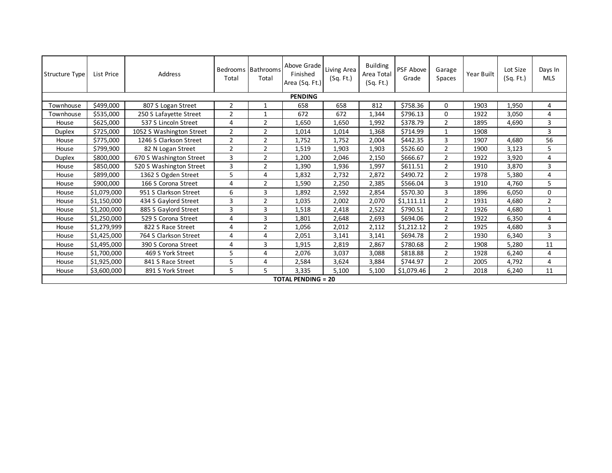| Structure Type | List Price  | Address                  | Total          | Bedrooms Bathrooms<br>Total | Above Grade<br>Finished<br>Area (Sq. Ft.) | Living Area<br>(Sq. Ft.) | <b>Building</b><br>Area Total<br>(Sq. Ft.) | PSF Above<br>Grade | Garage<br>Spaces | Year Built | Lot Size<br>(Sq. Ft.) | Days In<br><b>MLS</b> |  |
|----------------|-------------|--------------------------|----------------|-----------------------------|-------------------------------------------|--------------------------|--------------------------------------------|--------------------|------------------|------------|-----------------------|-----------------------|--|
| <b>PENDING</b> |             |                          |                |                             |                                           |                          |                                            |                    |                  |            |                       |                       |  |
| Townhouse      | \$499,000   | 807 S Logan Street       | 2              | 1                           | 658                                       | 658                      | 812                                        | \$758.36           | $\Omega$         | 1903       | 1,950                 | 4                     |  |
| Townhouse      | \$535,000   | 250 S Lafayette Street   | $\overline{2}$ |                             | 672                                       | 672                      | 1,344                                      | \$796.13           | 0                | 1922       | 3,050                 | 4                     |  |
| House          | \$625,000   | 537 S Lincoln Street     | 4              | $\overline{2}$              | 1,650                                     | 1,650                    | 1,992                                      | \$378.79           | $\overline{2}$   | 1895       | 4,690                 | 3                     |  |
| <b>Duplex</b>  | \$725,000   | 1052 S Washington Street | $\overline{2}$ | $\overline{2}$              | 1,014                                     | 1,014                    | 1,368                                      | \$714.99           | $\mathbf{1}$     | 1908       |                       | 3                     |  |
| House          | \$775,000   | 1246 S Clarkson Street   | $\overline{2}$ | $\overline{2}$              | 1,752                                     | 1,752                    | 2,004                                      | \$442.35           | 3                | 1907       | 4,680                 | 56                    |  |
| House          | \$799,900   | 82 N Logan Street        | $\overline{2}$ | $\overline{2}$              | 1,519                                     | 1,903                    | 1,903                                      | \$526.60           | $\overline{2}$   | 1900       | 3,123                 | 5                     |  |
| Duplex         | \$800,000   | 670 S Washington Street  | 3              | $\overline{2}$              | 1,200                                     | 2,046                    | 2,150                                      | \$666.67           | 2                | 1922       | 3,920                 | 4                     |  |
| House          | \$850,000   | 520 S Washington Street  | 3              | $\overline{2}$              | 1,390                                     | 1,936                    | 1,997                                      | \$611.51           | $\overline{2}$   | 1910       | 3,870                 | 3                     |  |
| House          | \$899,000   | 1362 S Ogden Street      | 5              | 4                           | 1,832                                     | 2,732                    | 2,872                                      | \$490.72           | $\overline{2}$   | 1978       | 5,380                 | 4                     |  |
| House          | \$900,000   | 166 S Corona Street      | 4              | 2                           | 1,590                                     | 2,250                    | 2,385                                      | \$566.04           | 3                | 1910       | 4,760                 | 5                     |  |
| House          | \$1,079,000 | 951 S Clarkson Street    | 6              | 3                           | 1,892                                     | 2,592                    | 2,854                                      | \$570.30           | 3                | 1896       | 6,050                 | 0                     |  |
| House          | \$1,150,000 | 434 S Gaylord Street     | 3              | $\overline{2}$              | 1,035                                     | 2,002                    | 2,070                                      | \$1,111.11         | $\overline{2}$   | 1931       | 4,680                 | $\overline{2}$        |  |
| House          | \$1,200,000 | 885 S Gaylord Street     | 3              | 3                           | 1,518                                     | 2,418                    | 2,522                                      | \$790.51           | $\overline{2}$   | 1926       | 4,680                 | $\mathbf{1}$          |  |
| House          | \$1,250,000 | 529 S Corona Street      | 4              | 3                           | 1,801                                     | 2,648                    | 2,693                                      | \$694.06           | $\overline{2}$   | 1922       | 6,350                 | 4                     |  |
| House          | \$1,279,999 | 822 S Race Street        | 4              | $\overline{2}$              | 1,056                                     | 2,012                    | 2,112                                      | \$1,212.12         | $\overline{2}$   | 1925       | 4,680                 | 3                     |  |
| House          | \$1,425,000 | 764 S Clarkson Street    | 4              | 4                           | 2,051                                     | 3,141                    | 3,141                                      | \$694.78           | 2                | 1930       | 6,340                 | 3                     |  |
| House          | \$1,495,000 | 390 S Corona Street      | 4              | 3                           | 1,915                                     | 2,819                    | 2,867                                      | \$780.68           | $\overline{2}$   | 1908       | 5,280                 | 11                    |  |
| House          | \$1,700,000 | 469 S York Street        | 5              | 4                           | 2,076                                     | 3,037                    | 3,088                                      | \$818.88           | $\overline{2}$   | 1928       | 6,240                 | 4                     |  |
| House          | \$1,925,000 | 841 S Race Street        | 5              | 4                           | 2,584                                     | 3,624                    | 3,884                                      | \$744.97           | $\overline{2}$   | 2005       | 4,792                 | 4                     |  |
| House          | \$3,600,000 | 891 S York Street        | 5              | 5.                          | 3,335                                     | 5,100                    | 5,100                                      | \$1,079.46         | $\overline{2}$   | 2018       | 6,240                 | 11                    |  |
|                |             |                          |                |                             | <b>TOTAL PENDING = 20</b>                 |                          |                                            |                    |                  |            |                       |                       |  |